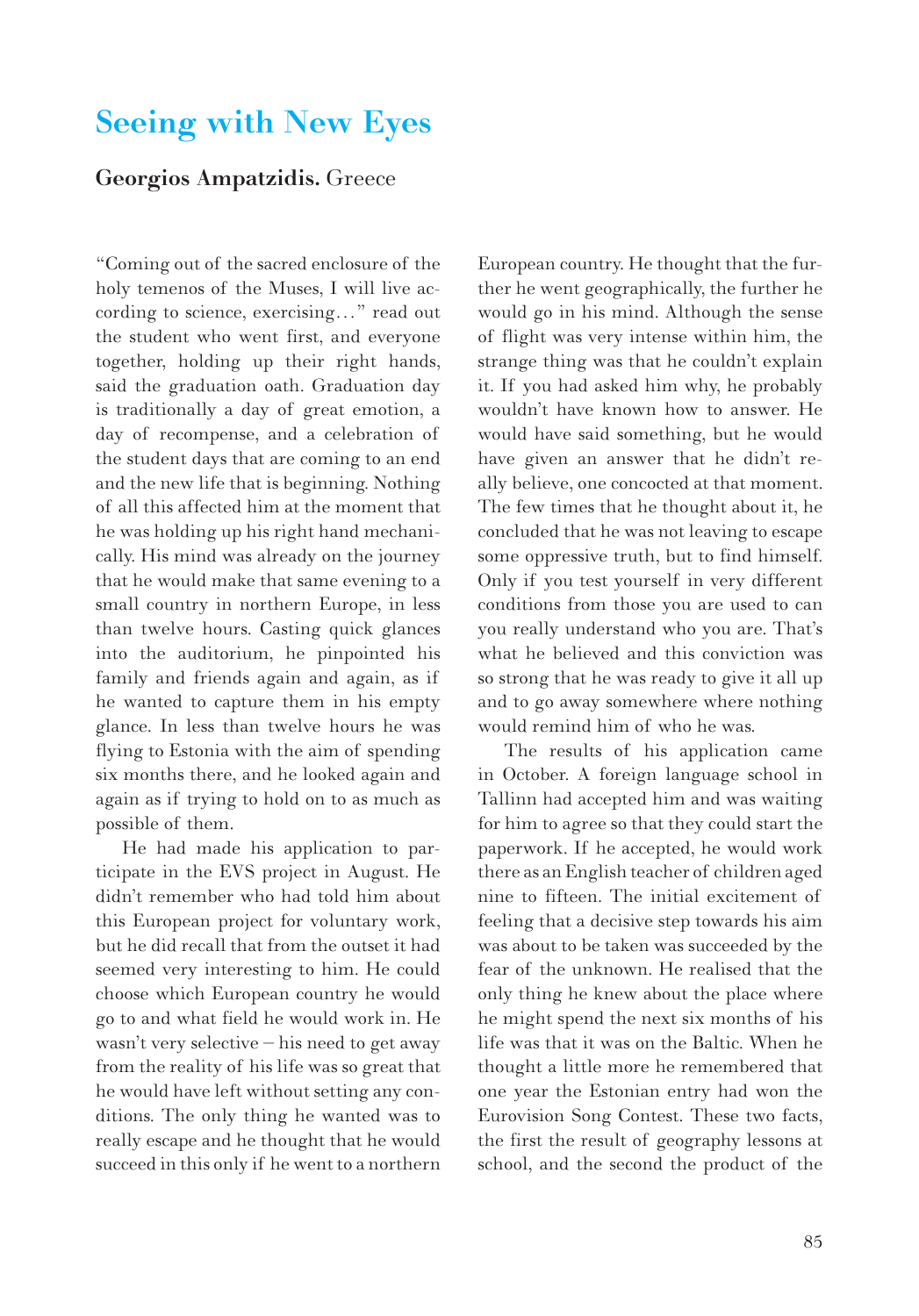## Seeing with New Eyes

## Georgios Ampatzidis. Greece

"Coming out of the sacred enclosure of the holy temenos of the Muses, I will live according to science, exercising…" read out the student who went first, and everyone together, holding up their right hands, said the graduation oath. Graduation day is traditionally a day of great emotion, a day of recompense, and a celebration of the student days that are coming to an end and the new life that is beginning. Nothing of all this affected him at the moment that he was holding up his right hand mechanically. His mind was already on the journey that he would make that same evening to a small country in northern Europe, in less than twelve hours. Casting quick glances into the auditorium, he pinpointed his family and friends again and again, as if he wanted to capture them in his empty glance. In less than twelve hours he was flying to Estonia with the aim of spending six months there, and he looked again and again as if trying to hold on to as much as possible of them.

He had made his application to participate in the EVS project in August. He didn't remember who had told him about this European project for voluntary work, but he did recall that from the outset it had seemed very interesting to him. He could choose which European country he would go to and what field he would work in. He wasn't very selective – his need to get away from the reality of his life was so great that he would have left without setting any conditions. The only thing he wanted was to really escape and he thought that he would succeed in this only if he went to a northern European country. He thought that the further he went geographically, the further he would go in his mind. Although the sense of flight was very intense within him, the strange thing was that he couldn't explain it. If you had asked him why, he probably wouldn't have known how to answer. He would have said something, but he would have given an answer that he didn't really believe, one concocted at that moment. The few times that he thought about it, he concluded that he was not leaving to escape some oppressive truth, but to find himself. Only if you test yourself in very different conditions from those you are used to can you really understand who you are. That's what he believed and this conviction was so strong that he was ready to give it all up and to go away somewhere where nothing would remind him of who he was.

The results of his application came in October. A foreign language school in Tallinn had accepted him and was waiting for him to agree so that they could start the paperwork. If he accepted, he would work there as an English teacher of children aged nine to fifteen. The initial excitement of feeling that a decisive step towards his aim was about to be taken was succeeded by the fear of the unknown. He realised that the only thing he knew about the place where he might spend the next six months of his life was that it was on the Baltic. When he thought a little more he remembered that one year the Estonian entry had won the Eurovision Song Contest. These two facts, the first the result of geography lessons at school, and the second the product of the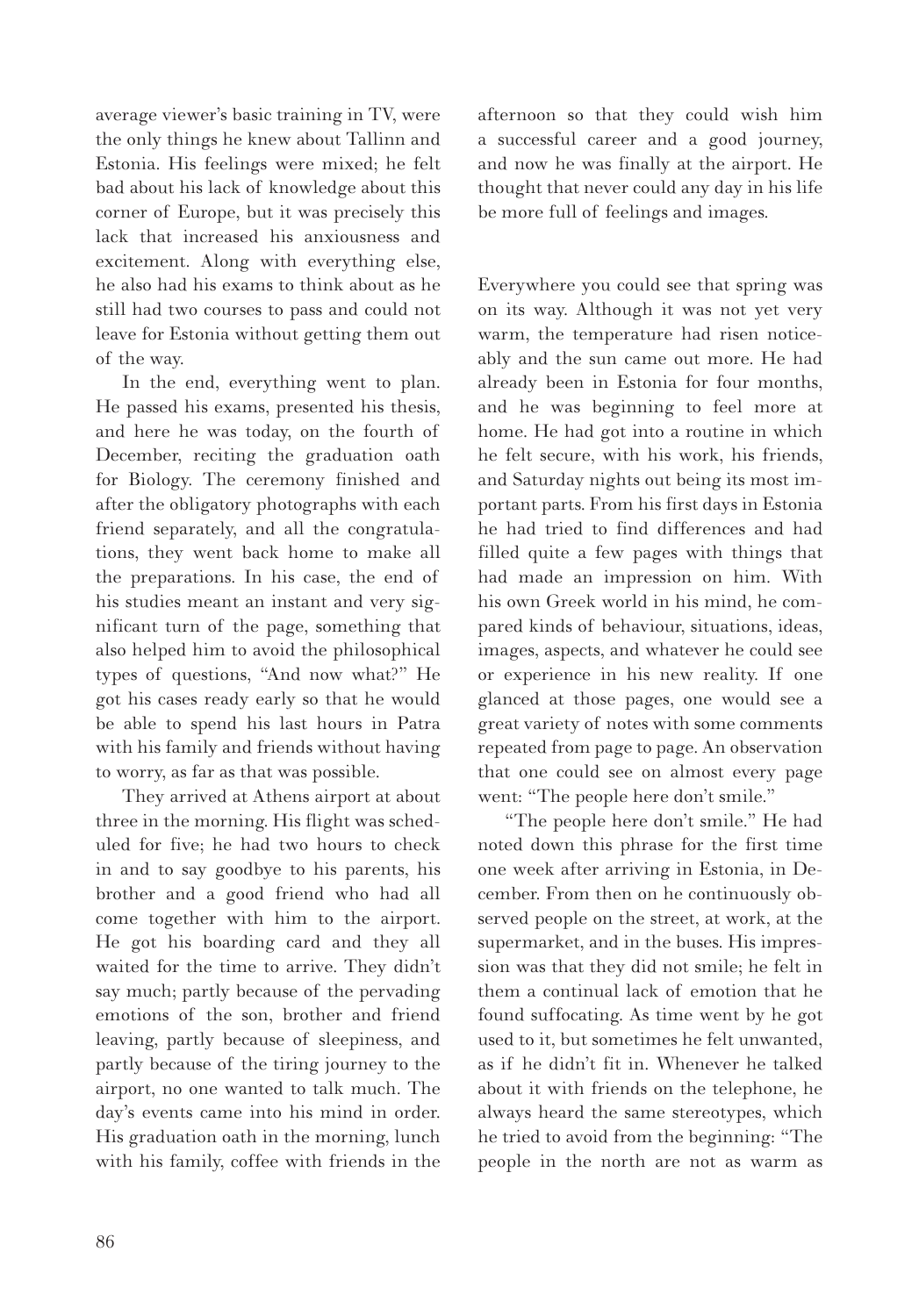average viewer's basic training in TV, were the only things he knew about Tallinn and Estonia. His feelings were mixed; he felt bad about his lack of knowledge about this corner of Europe, but it was precisely this lack that increased his anxiousness and excitement. Along with everything else, he also had his exams to think about as he still had two courses to pass and could not leave for Estonia without getting them out of the way.

In the end, everything went to plan. He passed his exams, presented his thesis, and here he was today, on the fourth of December, reciting the graduation oath for Biology. The ceremony finished and after the obligatory photographs with each friend separately, and all the congratulations, they went back home to make all the preparations. In his case, the end of his studies meant an instant and very significant turn of the page, something that also helped him to avoid the philosophical types of questions, "And now what?" He got his cases ready early so that he would be able to spend his last hours in Patra with his family and friends without having to worry, as far as that was possible.

They arrived at Athens airport at about three in the morning. His flight was scheduled for five; he had two hours to check in and to say goodbye to his parents, his brother and a good friend who had all come together with him to the airport. He got his boarding card and they all waited for the time to arrive. They didn't say much; partly because of the pervading emotions of the son, brother and friend leaving, partly because of sleepiness, and partly because of the tiring journey to the airport, no one wanted to talk much. The day's events came into his mind in order. His graduation oath in the morning, lunch with his family, coffee with friends in the

afternoon so that they could wish him a successful career and a good journey, and now he was finally at the airport. He thought that never could any day in his life be more full of feelings and images.

Everywhere you could see that spring was on its way. Although it was not yet very warm, the temperature had risen noticeably and the sun came out more. He had already been in Estonia for four months, and he was beginning to feel more at home. He had got into a routine in which he felt secure, with his work, his friends, and Saturday nights out being its most important parts. From his first days in Estonia he had tried to find differences and had filled quite a few pages with things that had made an impression on him. With his own Greek world in his mind, he compared kinds of behaviour, situations, ideas, images, aspects, and whatever he could see or experience in his new reality. If one glanced at those pages, one would see a great variety of notes with some comments repeated from page to page. An observation that one could see on almost every page went: "The people here don't smile."

"The people here don't smile." He had noted down this phrase for the first time one week after arriving in Estonia, in December. From then on he continuously observed people on the street, at work, at the supermarket, and in the buses. His impression was that they did not smile; he felt in them a continual lack of emotion that he found suffocating. As time went by he got used to it, but sometimes he felt unwanted, as if he didn't fit in. Whenever he talked about it with friends on the telephone, he always heard the same stereotypes, which he tried to avoid from the beginning: "The people in the north are not as warm as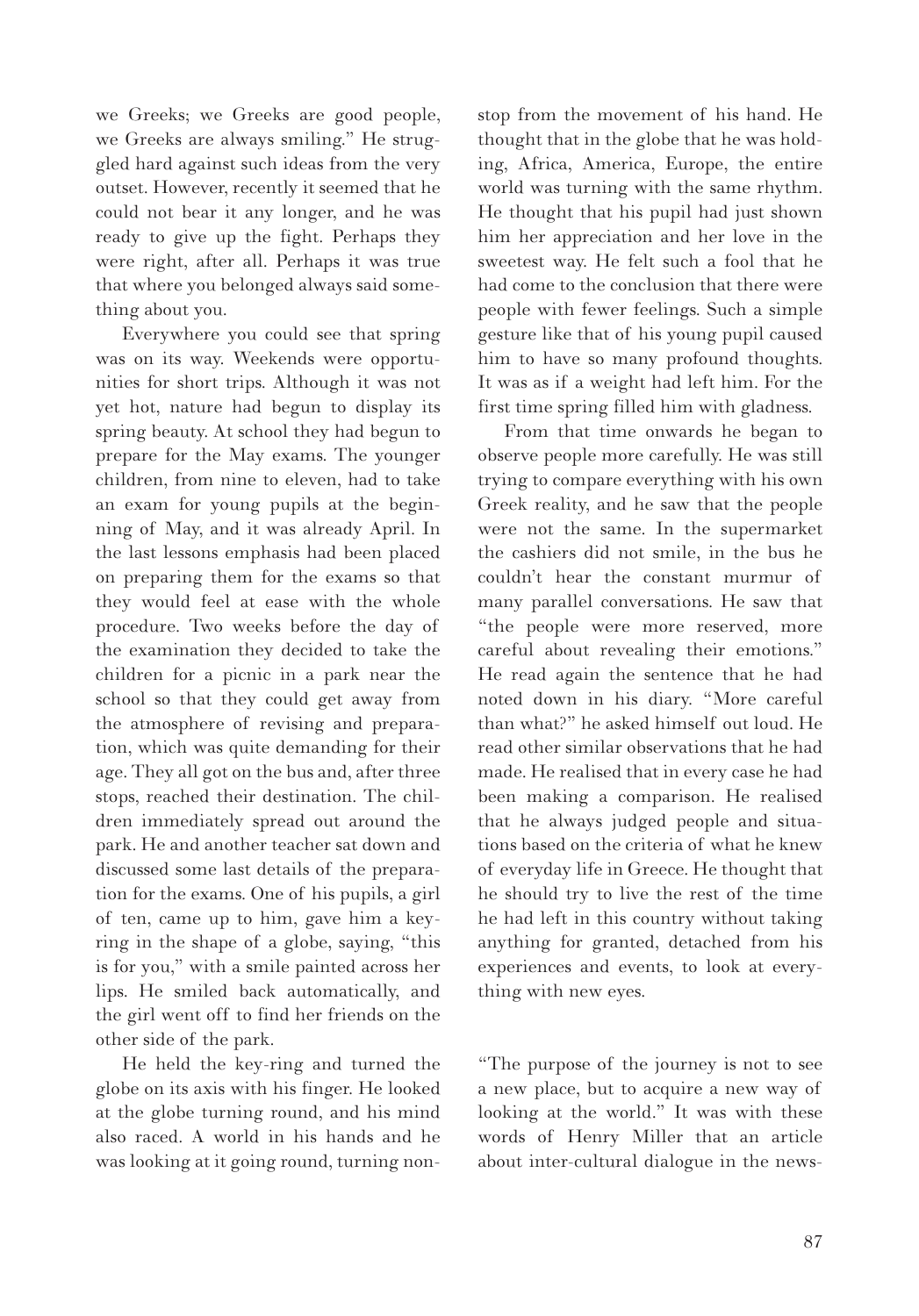we Greeks; we Greeks are good people, we Greeks are always smiling." He struggled hard against such ideas from the very outset. However, recently it seemed that he could not bear it any longer, and he was ready to give up the fight. Perhaps they were right, after all. Perhaps it was true that where you belonged always said something about you.

Everywhere you could see that spring was on its way. Weekends were opportunities for short trips. Although it was not yet hot, nature had begun to display its spring beauty. At school they had begun to prepare for the May exams. The younger children, from nine to eleven, had to take an exam for young pupils at the beginning of May, and it was already April. In the last lessons emphasis had been placed on preparing them for the exams so that they would feel at ease with the whole procedure. Two weeks before the day of the examination they decided to take the children for a picnic in a park near the school so that they could get away from the atmosphere of revising and preparation, which was quite demanding for their age. They all got on the bus and, after three stops, reached their destination. The children immediately spread out around the park. He and another teacher sat down and discussed some last details of the preparation for the exams. One of his pupils, a girl of ten, came up to him, gave him a keyring in the shape of a globe, saying, "this is for you," with a smile painted across her lips. He smiled back automatically, and the girl went off to find her friends on the other side of the park.

He held the key-ring and turned the globe on its axis with his finger. He looked at the globe turning round, and his mind also raced. A world in his hands and he was looking at it going round, turning nonstop from the movement of his hand. He thought that in the globe that he was holding, Africa, America, Europe, the entire world was turning with the same rhythm. He thought that his pupil had just shown him her appreciation and her love in the sweetest way. He felt such a fool that he had come to the conclusion that there were people with fewer feelings. Such a simple gesture like that of his young pupil caused him to have so many profound thoughts. It was as if a weight had left him. For the first time spring filled him with gladness.

From that time onwards he began to observe people more carefully. He was still trying to compare everything with his own Greek reality, and he saw that the people were not the same. In the supermarket the cashiers did not smile, in the bus he couldn't hear the constant murmur of many parallel conversations. He saw that "the people were more reserved, more careful about revealing their emotions." He read again the sentence that he had noted down in his diary. "More careful than what?" he asked himself out loud. He read other similar observations that he had made. He realised that in every case he had been making a comparison. He realised that he always judged people and situations based on the criteria of what he knew of everyday life in Greece. He thought that he should try to live the rest of the time he had left in this country without taking anything for granted, detached from his experiences and events, to look at everything with new eyes.

"The purpose of the journey is not to see a new place, but to acquire a new way of looking at the world." It was with these words of Henry Miller that an article about inter-cultural dialogue in the news